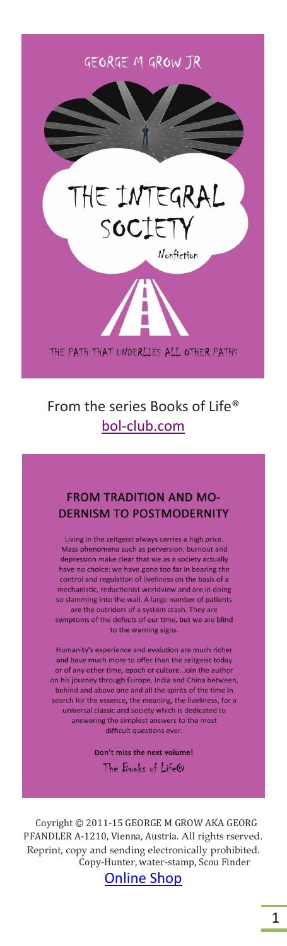

# HE INTEGRAL SOCIETY Nonfiction

THE PATH THAT UNDERLIES ALL OTHER PATHS

## From the series Books of Life® [bol-club.com](https://bol-club.com/)

#### **FROM TRADITION AND MO-DERNISM TO POSTMODERNITY**

Living in the zeitgeist always carries a high price. Mass phenomena such as perversion, burnout and depression make clear that we as a society actually have no choice: we have gone too far in bearing the control and regulation of liveliness on the basis of a mechanistic, reductionist worldview and are in doing so slamming into the wall. A large number of patients are the outriders of a system crash. They are symptoms of the defects of our time, but we are blind to the warning signs.

Humanity's experience and evolution are much richer and have much more to offer than the zeitgeist today or of any other time, epoch or culture. Join the author<br>on his journey through Europe, India and China between, behind and above one and all the spirits of the time in search for the essence, the meaning, the liveliness, for a universal classic and society which is dedicated to answering the simplest answers to the most difficult questions ever

> Don't miss the next volume! The Books of Life®

 Coyright © 2011-15 GEORGE M GROW AKA GEORG PFANDLER A-1210, Vienna, Austria. All rights rserved. Reprint, copy and sending electronically prohibited. Copy-Hunter, water-stamp, Scou Finder

[Online Shop](https://georgegrow.com/online-shop-libreria-bestellung/)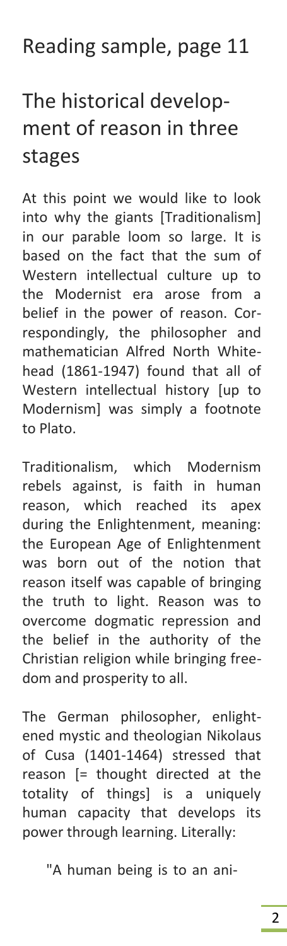## Reading sample, page 11

# The historical development of reason in three stages

At this point we would like to look into why the giants [Traditionalism] in our parable loom so large. It is based on the fact that the sum of Western intellectual culture up to the Modernist era arose from a belief in the power of reason. Correspondingly, the philosopher and mathematician Alfred North Whitehead (1861-1947) found that all of Western intellectual history [up to Modernism] was simply a footnote to Plato.

Traditionalism, which Modernism rebels against, is faith in human reason, which reached its apex during the Enlightenment, meaning: the European Age of Enlightenment was born out of the notion that reason itself was capable of bringing the truth to light. Reason was to overcome dogmatic repression and the belief in the authority of the Christian religion while bringing freedom and prosperity to all.

The German philosopher, enlightened mystic and theologian Nikolaus of Cusa (1401-1464) stressed that reason [= thought directed at the totality of things] is a uniquely human capacity that develops its power through learning. Literally:

"A human being is to an ani-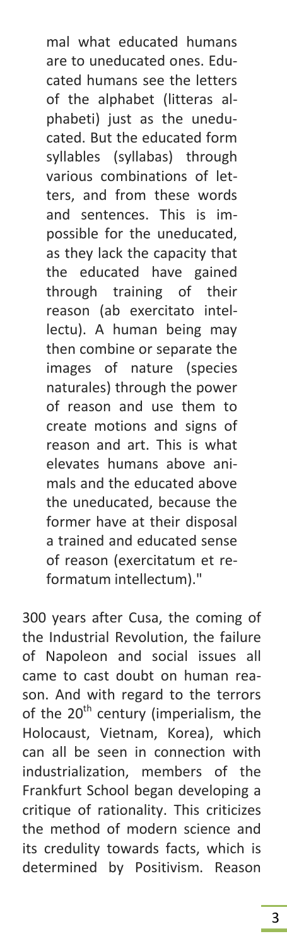mal what educated humans are to uneducated ones. Educated humans see the letters of the alphabet (litteras alphabeti) just as the uneducated. But the educated form syllables (syllabas) through various combinations of letters, and from these words and sentences. This is impossible for the uneducated, as they lack the capacity that the educated have gained through training of their reason (ab exercitato intellectu). A human being may then combine or separate the images of nature (species naturales) through the power of reason and use them to create motions and signs of reason and art. This is what elevates humans above animals and the educated above the uneducated, because the former have at their disposal a trained and educated sense of reason (exercitatum et reformatum intellectum)."

300 years after Cusa, the coming of the Industrial Revolution, the failure of Napoleon and social issues all came to cast doubt on human reason. And with regard to the terrors of the  $20<sup>th</sup>$  century (imperialism, the Holocaust, Vietnam, Korea), which can all be seen in connection with industrialization, members of the Frankfurt School began developing a critique of rationality. This criticizes the method of modern science and its credulity towards facts, which is determined by Positivism. Reason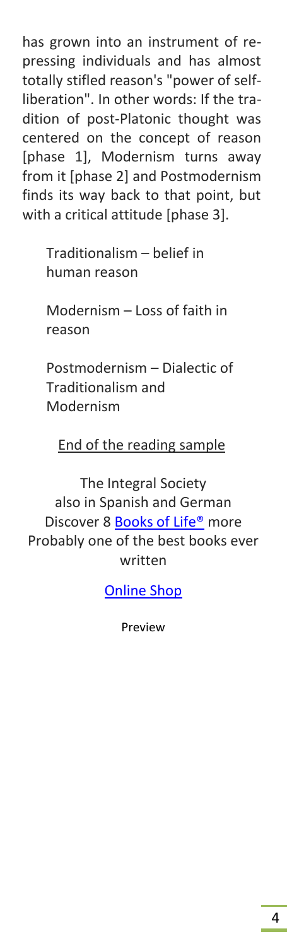has grown into an instrument of repressing individuals and has almost totally stifled reason's "power of selfliberation". In other words: If the tradition of post-Platonic thought was centered on the concept of reason [phase 1], Modernism turns away from it [phase 2] and Postmodernism finds its way back to that point, but with a critical attitude [phase 3].

> Traditionalism – belief in human reason

Modernism – Loss of faith in reason

Postmodernism – Dialectic of Traditionalism and Modernism

### End of the reading sample

The Integral Society also in Spanish and German Discover 8 Books of Life<sup>®</sup> more Probably one of the best books ever written

[Online Shop](https://georgegrow.com/online-shop-libreria-bestellung/)

Preview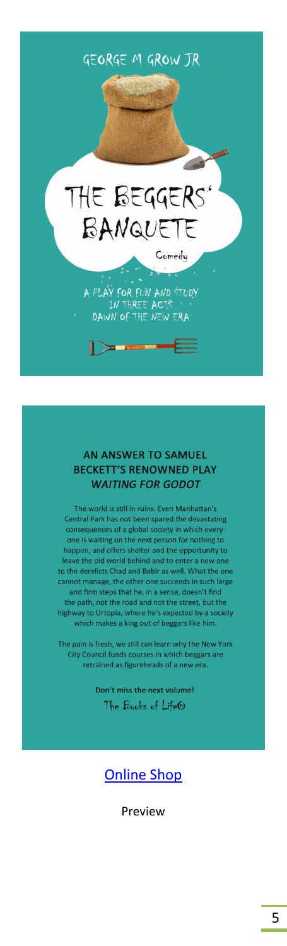

#### **AN ANSWER TO SAMUEL BECKETT'S RENOWNED PLAY WAITING FOR GODOT**

The world is still in ruins. Even Manhattan's Central Park has not been spared the devastating consequences of a global society in which every one is waiting on the next person for nothing to happen, and offers shelter and the opportunity to leave the old world behind and to enter a new one to the derelicts Chad and Babir as well. What the one cannot manage, the other one succeeds in such large<br>and firm steps that he, in a sense, doesn't find the path, not the road and not the street, but the highway to Urtopia, where he's expected by a society which makes a king out of beggars like him.

The pain is fresh, we still can learn why the New York City Council funds courses in which beggars are retrained as figureheads of a new era.

> Don't miss the next volume! The Books of Life®

### [Online Shop](https://georgegrow.com/online-shop-libreria-bestellung/)

Preview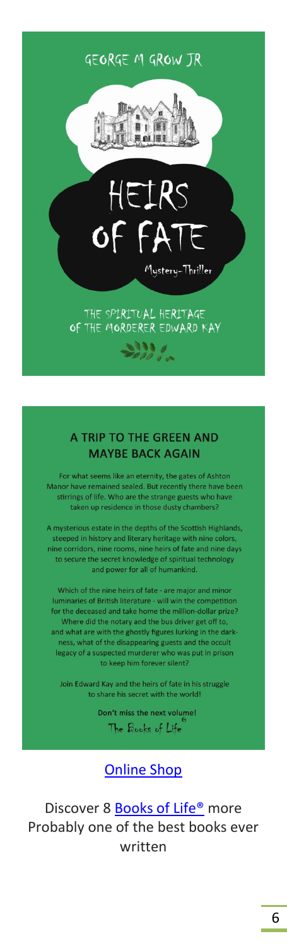### GEORGE M GROW TR



#### A TRIP TO THE GREEN AND **MAYBE BACK AGAIN**

For what seems like an eternity, the gates of Ashton Manor have remained sealed. But recently there have been stirrings of life. Who are the strange guests who have taken up residence in those dusty chambers?

A mysterious estate in the depths of the Scottish Highlands, steeped in history and literary heritage with nine colors, nine corridors, nine rooms, nine heirs of fate and nine days to secure the secret knowledge of spiritual technology and power for all of humankind.

Which of the nine heirs of fate - are major and minor luminaries of British literature - will win the competition for the deceased and take home the million-dollar prize? Where did the notary and the bus driver get off to, and what are with the ghostly figures lurking in the darkness, what of the disappearing guests and the occult legacy of a suspected murderer who was put in prison to keep him forever silent?

Join Edward Kay and the heirs of fate in his struggle to share his secret with the world!

> Don't miss the next volume! The Books of Life

[Online Shop](https://georgegrow.com/online-shop-libreria-bestellung/)

Discover 8 Books of Life<sup>®</sup> more Probably one of the best books ever written